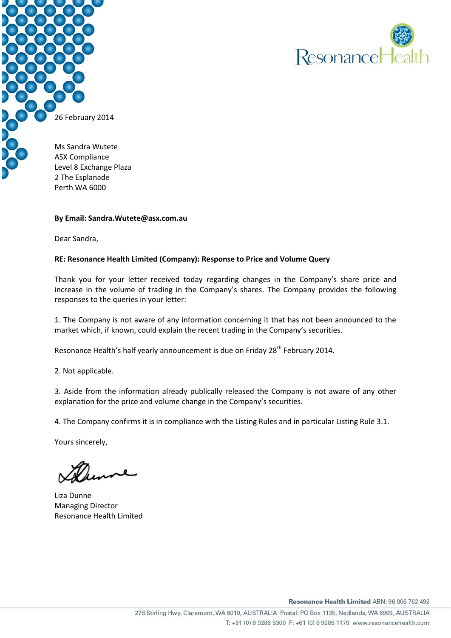



Level 8 Exchange Plaza 2 The Esplanade Perth WA 6000

#### **By Email: Sandra.Wutete@asx.com.au**

Dear Sandra,

# **RE: Resonance Health Limited (Company): Response to Price and Volume Query**

Thank you for your letter received today regarding changes in the Company's share price and increase in the volume of trading in the Company's shares. The Company provides the following responses to the queries in your letter:

1. The Company is not aware of any information concerning it that has not been announced to the market which, if known, could explain the recent trading in the Company's securities.

Resonance Health's half yearly announcement is due on Friday 28<sup>th</sup> February 2014.

2. Not applicable.

3. Aside from the information already publically released the Company is not aware of any other explanation for the price and volume change in the Company's securities.

4. The Company confirms it is in compliance with the Listing Rules and in particular Listing Rule 3.1.

Yours sincerely,

Liza Dunne Managing Director Resonance Health Limited

Resonance Health Limited ABN: 96 006 762 492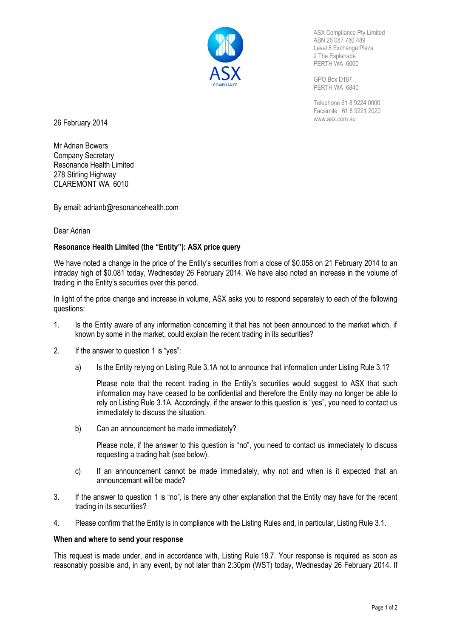

ASX Compliance Pty Limited ABN 26 087 780 489 Level 8 Exchange Plaza 2 The Esplanade PERTH WA 6000

GPO Box D187 PERTH WA 6840

Telephone 61 8 9224 0000 Facsimile 61 8 9221 2020

26 February 2014 **2014 COVER 2014 COVER 2014 COVER 2014 COVER 2014 COVER 2014 COVER 2014 COVER 2014 COVER 2014 COVER 2014 COVER 2014 COVER 2014 COVER 2014 COVER 2014 COVER 2014 COVER 2014 CO** 

Mr Adrian Bowers Company Secretary Resonance Health Limited 278 Stirling Highway CLAREMONT WA 6010

By email: adrianb@resonancehealth.com

#### Dear Adrian

# **Resonance Health Limited (the "Entity"): ASX price query**

We have noted a change in the price of the Entity's securities from a close of \$0.058 on 21 February 2014 to an intraday high of \$0.081 today, Wednesday 26 February 2014. We have also noted an increase in the volume of trading in the Entity's securities over this period.

In light of the price change and increase in volume, ASX asks you to respond separately to each of the following questions:

- 1. Is the Entity aware of any information concerning it that has not been announced to the market which, if known by some in the market, could explain the recent trading in its securities?
- 2. If the answer to question 1 is "yes":
	- a) Is the Entity relying on Listing Rule 3.1A not to announce that information under Listing Rule 3.1?

Please note that the recent trading in the Entity's securities would suggest to ASX that such information may have ceased to be confidential and therefore the Entity may no longer be able to rely on Listing Rule 3.1A. Accordingly, if the answer to this question is "yes", you need to contact us immediately to discuss the situation.

b) Can an announcement be made immediately?

Please note, if the answer to this question is "no", you need to contact us immediately to discuss requesting a trading halt (see below).

- c) If an announcement cannot be made immediately, why not and when is it expected that an announcemant will be made?
- 3. If the answer to question 1 is "no", is there any other explanation that the Entity may have for the recent trading in its securities?
- 4. Please confirm that the Entity is in compliance with the Listing Rules and, in particular, Listing Rule 3.1.

#### **When and where to send your response**

This request is made under, and in accordance with, Listing Rule 18.7. Your response is required as soon as reasonably possible and, in any event, by not later than 2:30pm (WST) today, Wednesday 26 February 2014. If